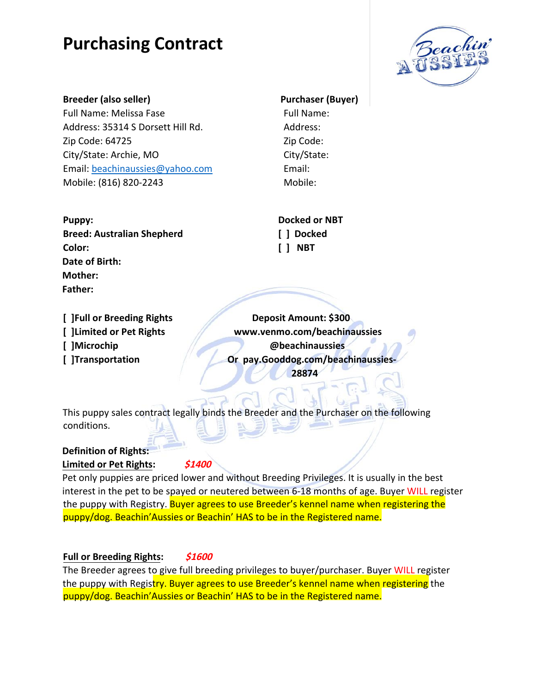

#### **Breeder (also seller)** Purchaser (Buyer)

Full Name: Melissa Fase Full Name: Address: 35314 S Dorsett Hill Rd. Address: Zip Code: 64725 Zip Code: City/State: Archie, MO City/State: Email: beachinaussies@yahoo.com Email: Mobile: (816) 820-2243 Mobile:

**Breed: Australian Shepherd [ ] Docked Color: [ ] NBT Date of Birth: Mother: Father:** 

Puppy: **Docked or NBT** 

**[ ]Full or Breeding Rights Deposit Amount: \$300 [ ]Limited or Pet Rights www.venmo.com/beachinaussies [ ]Microchip @beachinaussies [ ]Transportation Or pay.Gooddog.com/beachinaussies-28874** 

This puppy sales contract legally binds the Breeder and the Purchaser on the following conditions.

### **Definition of Rights: Limited or Pet Rights: \$1400**

Pet only puppies are priced lower and without Breeding Privileges. It is usually in the best interest in the pet to be spayed or neutered between 6-18 months of age. Buyer WILL register the puppy with Registry. Buyer agrees to use Breeder's kennel name when registering the puppy/dog. Beachin'Aussies or Beachin' HAS to be in the Registered name.

### **Full or Breeding Rights: \$1600**

The Breeder agrees to give full breeding privileges to buyer/purchaser. Buyer WILL register the puppy with Registry. Buyer agrees to use Breeder's kennel name when registering the puppy/dog. Beachin'Aussies or Beachin' HAS to be in the Registered name.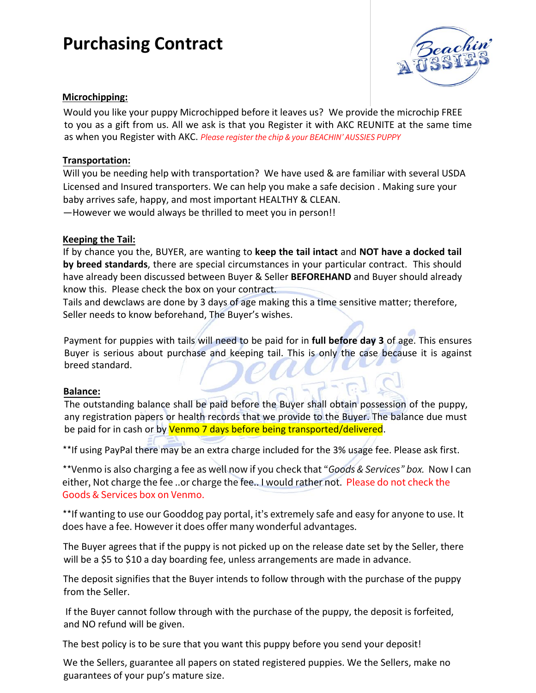

### **Microchipping:**

Would you like your puppy Microchipped before it leaves us? We provide the microchip FREE to you as a gift from us. All we ask is that you Register it with AKC REUNITE at the same time as when you Register with AKC. Please register the chip & your BEACHIN' AUSSIES PUPPY

#### **Transportation:**

Will you be needing help with transportation? We have used & are familiar with several USDA Licensed and Insured transporters. We can help you make a safe decision . Making sure your baby arrives safe, happy, and most important HEALTHY & CLEAN.

—However we would always be thrilled to meet you in person!!

#### **Keeping the Tail:**

If by chance you the, BUYER, are wanting to **keep the tail intact** and **NOT have a docked tail by breed standards**, there are special circumstances in your particular contract. This should have already been discussed between Buyer & Seller **BEFOREHAND** and Buyer should already know this. Please check the box on your contract.

Tails and dewclaws are done by 3 days of age making this a time sensitive matter; therefore, Seller needs to know beforehand, The Buyer's wishes.

Payment for puppies with tails will need to be paid for in **full before day 3** of age. This ensures Buyer is serious about purchase and keeping tail. This is only the case because it is against breed standard.

#### **Balance:**

The outstanding balance shall be paid before the Buyer shall obtain possession of the puppy, any registration papers or health records that we provide to the Buyer. The balance due must be paid for in cash or by Venmo 7 days before being transported/delivered.

\*\*If using PayPal there may be an extra charge included for the 3% usage fee. Please ask first.

\*\*Venmo is also charging a fee as well now if you check that "Goods & Services" box. Now I can either, Not charge the fee ..or charge the fee.. I would rather not. Please do not check the Goods & Services box on Venmo.

\*\*If wanting to use our Gooddog pay portal, it's extremely safe and easy for anyone to use. It does have a fee. However it does offer many wonderful advantages.

The Buyer agrees that if the puppy is not picked up on the release date set by the Seller, there will be a \$5 to \$10 a day boarding fee, unless arrangements are made in advance.

The deposit signifies that the Buyer intends to follow through with the purchase of the puppy from the Seller.

 If the Buyer cannot follow through with the purchase of the puppy, the deposit is forfeited, and NO refund will be given.

The best policy is to be sure that you want this puppy before you send your deposit!

We the Sellers, guarantee all papers on stated registered puppies. We the Sellers, make no guarantees of your pup's mature size.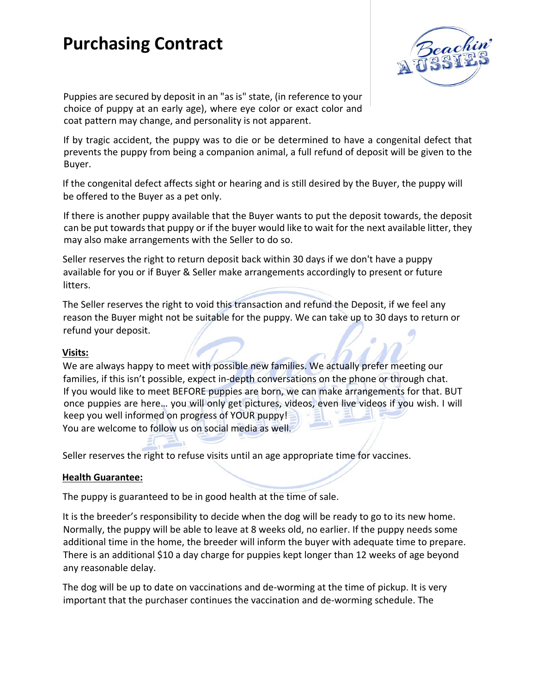

Puppies are secured by deposit in an "as is" state, (in reference to your choice of puppy at an early age), where eye color or exact color and coat pattern may change, and personality is not apparent.

If by tragic accident, the puppy was to die or be determined to have a congenital defect that prevents the puppy from being a companion animal, a full refund of deposit will be given to the Buyer.

If the congenital defect affects sight or hearing and is still desired by the Buyer, the puppy will be offered to the Buyer as a pet only.

If there is another puppy available that the Buyer wants to put the deposit towards, the deposit can be put towards that puppy or if the buyer would like to wait for the next available litter, they may also make arrangements with the Seller to do so.

Seller reserves the right to return deposit back within 30 days if we don't have a puppy available for you or if Buyer & Seller make arrangements accordingly to present or future litters.

The Seller reserves the right to void this transaction and refund the Deposit, if we feel any reason the Buyer might not be suitable for the puppy. We can take up to 30 days to return or refund your deposit.

#### **Visits:**

We are always happy to meet with possible new families. We actually prefer meeting our families, if this isn't possible, expect in-depth conversations on the phone or through chat. If you would like to meet BEFORE puppies are born, we can make arrangements for that. BUT once puppies are here… you will only get pictures, videos, even live videos if you wish. I will keep you well informed on progress of YOUR puppy! You are welcome to follow us on social media as well.

Seller reserves the right to refuse visits until an age appropriate time for vaccines.

#### **Health Guarantee:**

The puppy is guaranteed to be in good health at the time of sale.

It is the breeder's responsibility to decide when the dog will be ready to go to its new home. Normally, the puppy will be able to leave at 8 weeks old, no earlier. If the puppy needs some additional time in the home, the breeder will inform the buyer with adequate time to prepare. There is an additional \$10 a day charge for puppies kept longer than 12 weeks of age beyond any reasonable delay.

The dog will be up to date on vaccinations and de-worming at the time of pickup. It is very important that the purchaser continues the vaccination and de-worming schedule. The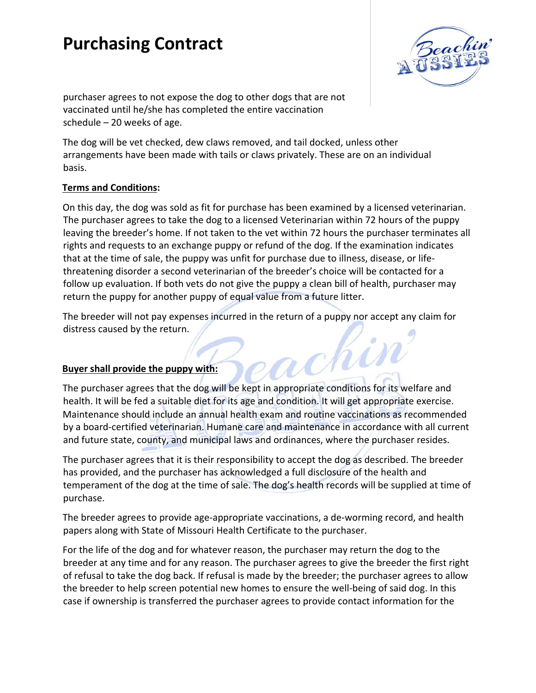

purchaser agrees to not expose the dog to other dogs that are not vaccinated until he/she has completed the entire vaccination schedule – 20 weeks of age.

The dog will be vet checked, dew claws removed, and tail docked, unless other arrangements have been made with tails or claws privately. These are on an individual basis.

#### **Terms and Conditions:**

On this day, the dog was sold as fit for purchase has been examined by a licensed veterinarian. The purchaser agrees to take the dog to a licensed Veterinarian within 72 hours of the puppy leaving the breeder's home. If not taken to the vet within 72 hours the purchaser terminates all rights and requests to an exchange puppy or refund of the dog. If the examination indicates that at the time of sale, the puppy was unfit for purchase due to illness, disease, or lifethreatening disorder a second veterinarian of the breeder's choice will be contacted for a follow up evaluation. If both vets do not give the puppy a clean bill of health, purchaser may return the puppy for another puppy of equal value from a future litter.

The breeder will not pay expenses incurred in the return of a puppy nor accept any claim for distress caused by the return. chin

#### **Buyer shall provide the puppy with:**

The purchaser agrees that the dog will be kept in appropriate conditions for its welfare and health. It will be fed a suitable diet for its age and condition. It will get appropriate exercise. Maintenance should include an annual health exam and routine vaccinations as recommended by a board-certified veterinarian. Humane care and maintenance in accordance with all current and future state, county, and municipal laws and ordinances, where the purchaser resides.

The purchaser agrees that it is their responsibility to accept the dog as described. The breeder has provided, and the purchaser has acknowledged a full disclosure of the health and temperament of the dog at the time of sale. The dog's health records will be supplied at time of purchase.

The breeder agrees to provide age-appropriate vaccinations, a de-worming record, and health papers along with State of Missouri Health Certificate to the purchaser.

For the life of the dog and for whatever reason, the purchaser may return the dog to the breeder at any time and for any reason. The purchaser agrees to give the breeder the first right of refusal to take the dog back. If refusal is made by the breeder; the purchaser agrees to allow the breeder to help screen potential new homes to ensure the well-being of said dog. In this case if ownership is transferred the purchaser agrees to provide contact information for the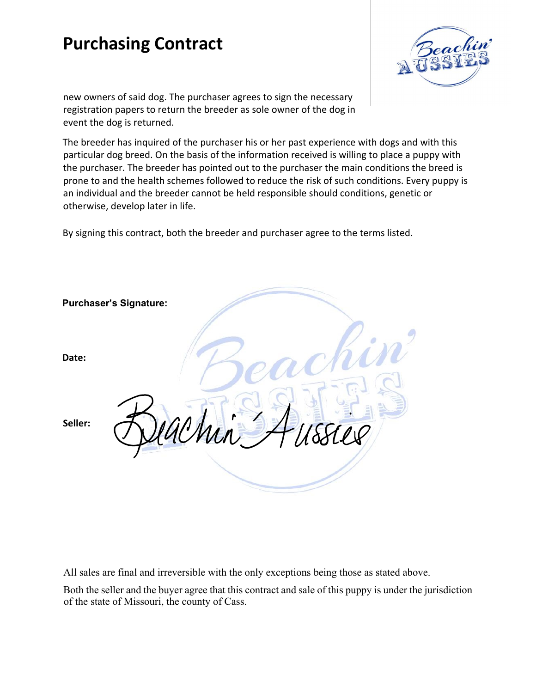

new owners of said dog. The purchaser agrees to sign the necessary registration papers to return the breeder as sole owner of the dog in event the dog is returned.

The breeder has inquired of the purchaser his or her past experience with dogs and with this particular dog breed. On the basis of the information received is willing to place a puppy with the purchaser. The breeder has pointed out to the purchaser the main conditions the breed is prone to and the health schemes followed to reduce the risk of such conditions. Every puppy is an individual and the breeder cannot be held responsible should conditions, genetic or otherwise, develop later in life.

By signing this contract, both the breeder and purchaser agree to the terms listed.

|         | <b>Purchaser's Signature:</b> |
|---------|-------------------------------|
| Date:   |                               |
| Seller: | ACMin<br>٠,                   |
|         |                               |

All sales are final and irreversible with the only exceptions being those as stated above.

Both the seller and the buyer agree that this contract and sale of this puppy is under the jurisdiction of the state of Missouri, the county of Cass.